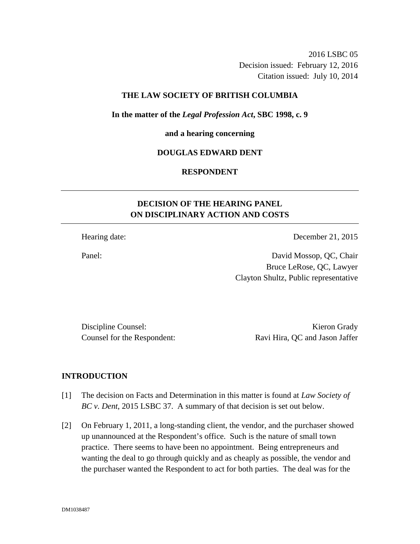2016 LSBC 05 Decision issued: February 12, 2016 Citation issued: July 10, 2014

## **THE LAW SOCIETY OF BRITISH COLUMBIA**

**In the matter of the** *Legal Profession Act***, SBC 1998, c. 9** 

#### **and a hearing concerning**

### **DOUGLAS EDWARD DENT**

### **RESPONDENT**

# **DECISION OF THE HEARING PANEL ON DISCIPLINARY ACTION AND COSTS**

Hearing date: December 21, 2015

Panel: David Mossop, QC, Chair Bruce LeRose, QC, Lawyer Clayton Shultz, Public representative

Discipline Counsel: Kieron Grady

Counsel for the Respondent: Ravi Hira, QC and Jason Jaffer

### **INTRODUCTION**

- [1] The decision on Facts and Determination in this matter is found at *Law Society of BC v. Dent*, 2015 LSBC 37. A summary of that decision is set out below.
- [2] On February 1, 2011, a long-standing client, the vendor, and the purchaser showed up unannounced at the Respondent's office. Such is the nature of small town practice. There seems to have been no appointment. Being entrepreneurs and wanting the deal to go through quickly and as cheaply as possible, the vendor and the purchaser wanted the Respondent to act for both parties. The deal was for the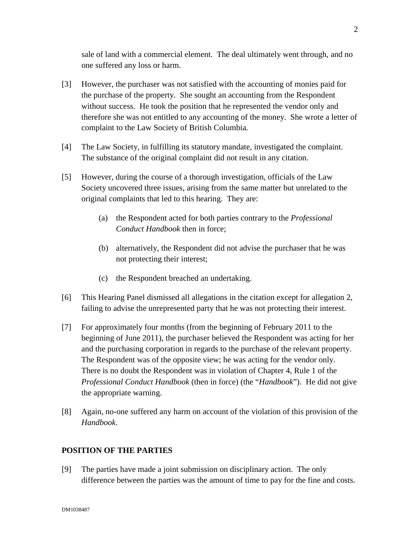sale of land with a commercial element. The deal ultimately went through, and no one suffered any loss or harm.

- [3] However, the purchaser was not satisfied with the accounting of monies paid for the purchase of the property. She sought an accounting from the Respondent without success. He took the position that he represented the vendor only and therefore she was not entitled to any accounting of the money. She wrote a letter of complaint to the Law Society of British Columbia.
- [4] The Law Society, in fulfilling its statutory mandate, investigated the complaint. The substance of the original complaint did not result in any citation.
- [5] However, during the course of a thorough investigation, officials of the Law Society uncovered three issues, arising from the same matter but unrelated to the original complaints that led to this hearing. They are:
	- (a) the Respondent acted for both parties contrary to the *Professional Conduct Handbook* then in force;
	- (b) alternatively, the Respondent did not advise the purchaser that he was not protecting their interest;
	- (c) the Respondent breached an undertaking.
- [6] This Hearing Panel dismissed all allegations in the citation except for allegation 2, failing to advise the unrepresented party that he was not protecting their interest.
- [7] For approximately four months (from the beginning of February 2011 to the beginning of June 2011), the purchaser believed the Respondent was acting for her and the purchasing corporation in regards to the purchase of the relevant property. The Respondent was of the opposite view; he was acting for the vendor only. There is no doubt the Respondent was in violation of Chapter 4, Rule 1 of the *Professional Conduct Handbook* (then in force) (the "*Handbook*"). He did not give the appropriate warning.
- [8] Again, no-one suffered any harm on account of the violation of this provision of the *Handbook*.

## **POSITION OF THE PARTIES**

[9] The parties have made a joint submission on disciplinary action. The only difference between the parties was the amount of time to pay for the fine and costs.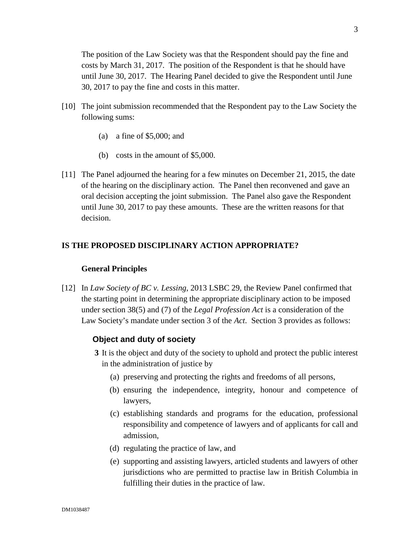The position of the Law Society was that the Respondent should pay the fine and costs by March 31, 2017. The position of the Respondent is that he should have until June 30, 2017. The Hearing Panel decided to give the Respondent until June 30, 2017 to pay the fine and costs in this matter.

- [10] The joint submission recommended that the Respondent pay to the Law Society the following sums:
	- (a) a fine of \$5,000; and
	- (b) costs in the amount of \$5,000.
- [11] The Panel adjourned the hearing for a few minutes on December 21, 2015, the date of the hearing on the disciplinary action. The Panel then reconvened and gave an oral decision accepting the joint submission. The Panel also gave the Respondent until June 30, 2017 to pay these amounts. These are the written reasons for that decision.

# **IS THE PROPOSED DISCIPLINARY ACTION APPROPRIATE?**

#### **General Principles**

[12] In *Law Society of BC v. Lessing*, 2013 LSBC 29, the Review Panel confirmed that the starting point in determining the appropriate disciplinary action to be imposed under section 38(5) and (7) of the *Legal Profession Act* is a consideration of the Law Society's mandate under section 3 of the *Act*. Section 3 provides as follows:

### **Object and duty of society**

- **3** It is the object and duty of the society to uphold and protect the public interest in the administration of justice by
	- (a) preserving and protecting the rights and freedoms of all persons,
	- (b) ensuring the independence, integrity, honour and competence of lawyers,
	- (c) establishing standards and programs for the education, professional responsibility and competence of lawyers and of applicants for call and admission,
	- (d) regulating the practice of law, and
	- (e) supporting and assisting lawyers, articled students and lawyers of other jurisdictions who are permitted to practise law in British Columbia in fulfilling their duties in the practice of law.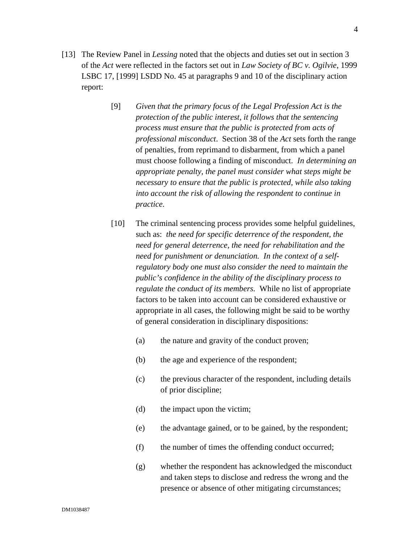- [13] The Review Panel in *Lessing* noted that the objects and duties set out in section 3 of the *Act* were reflected in the factors set out in *Law Society of BC v. Ogilvie*, 1999 LSBC 17, [1999] LSDD No. 45 at paragraphs 9 and 10 of the disciplinary action report:
	- [9] *Given that the primary focus of the Legal Profession Act is the protection of the public interest, it follows that the sentencing process must ensure that the public is protected from acts of professional misconduct*. Section 38 of the *Act* sets forth the range of penalties, from reprimand to disbarment, from which a panel must choose following a finding of misconduct. *In determining an appropriate penalty, the panel must consider what steps might be necessary to ensure that the public is protected, while also taking into account the risk of allowing the respondent to continue in practice.*
	- [10] The criminal sentencing process provides some helpful guidelines, such as: *the need for specific deterrence of the respondent, the need for general deterrence, the need for rehabilitation and the need for punishment or denunciation. In the context of a selfregulatory body one must also consider the need to maintain the public's confidence in the ability of the disciplinary process to regulate the conduct of its members.* While no list of appropriate factors to be taken into account can be considered exhaustive or appropriate in all cases, the following might be said to be worthy of general consideration in disciplinary dispositions:
		- (a) the nature and gravity of the conduct proven;
		- (b) the age and experience of the respondent;
		- (c) the previous character of the respondent, including details of prior discipline;
		- (d) the impact upon the victim;
		- (e) the advantage gained, or to be gained, by the respondent;
		- (f) the number of times the offending conduct occurred;
		- (g) whether the respondent has acknowledged the misconduct and taken steps to disclose and redress the wrong and the presence or absence of other mitigating circumstances;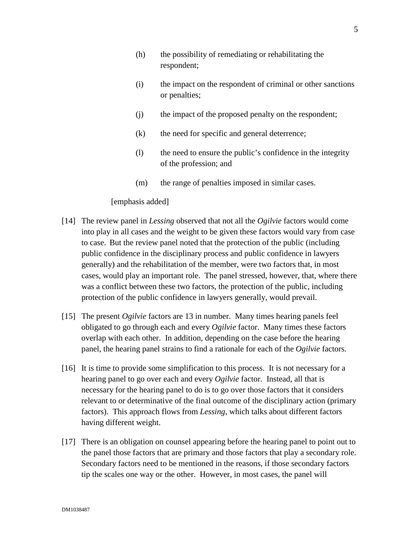- (h) the possibility of remediating or rehabilitating the respondent;
- (i) the impact on the respondent of criminal or other sanctions or penalties;
- (j) the impact of the proposed penalty on the respondent;
- (k) the need for specific and general deterrence;
- (l) the need to ensure the public's confidence in the integrity of the profession; and
- (m) the range of penalties imposed in similar cases.

#### [emphasis added]

- [14] The review panel in *Lessing* observed that not all the *Ogilvie* factors would come into play in all cases and the weight to be given these factors would vary from case to case. But the review panel noted that the protection of the public (including public confidence in the disciplinary process and public confidence in lawyers generally) and the rehabilitation of the member, were two factors that, in most cases, would play an important role. The panel stressed, however, that, where there was a conflict between these two factors, the protection of the public, including protection of the public confidence in lawyers generally, would prevail.
- [15] The present *Ogilvie* factors are 13 in number. Many times hearing panels feel obligated to go through each and every *Ogilvie* factor. Many times these factors overlap with each other. In addition, depending on the case before the hearing panel, the hearing panel strains to find a rationale for each of the *Ogilvie* factors.
- [16] It is time to provide some simplification to this process. It is not necessary for a hearing panel to go over each and every *Ogilvie* factor. Instead, all that is necessary for the hearing panel to do is to go over those factors that it considers relevant to or determinative of the final outcome of the disciplinary action (primary factors). This approach flows from *Lessing*, which talks about different factors having different weight.
- [17] There is an obligation on counsel appearing before the hearing panel to point out to the panel those factors that are primary and those factors that play a secondary role. Secondary factors need to be mentioned in the reasons, if those secondary factors tip the scales one way or the other. However, in most cases, the panel will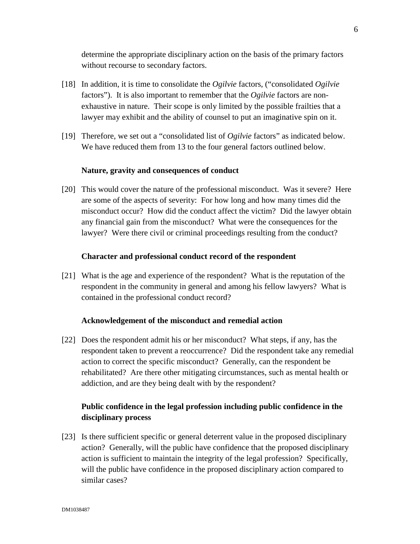determine the appropriate disciplinary action on the basis of the primary factors without recourse to secondary factors.

- [18] In addition, it is time to consolidate the *Ogilvie* factors, ("consolidated *Ogilvie* factors"). It is also important to remember that the *Ogilvie* factors are nonexhaustive in nature. Their scope is only limited by the possible frailties that a lawyer may exhibit and the ability of counsel to put an imaginative spin on it.
- [19] Therefore, we set out a "consolidated list of *Ogilvie* factors" as indicated below. We have reduced them from 13 to the four general factors outlined below.

#### **Nature, gravity and consequences of conduct**

[20] This would cover the nature of the professional misconduct. Was it severe? Here are some of the aspects of severity: For how long and how many times did the misconduct occur? How did the conduct affect the victim? Did the lawyer obtain any financial gain from the misconduct? What were the consequences for the lawyer? Were there civil or criminal proceedings resulting from the conduct?

### **Character and professional conduct record of the respondent**

[21] What is the age and experience of the respondent? What is the reputation of the respondent in the community in general and among his fellow lawyers? What is contained in the professional conduct record?

#### **Acknowledgement of the misconduct and remedial action**

[22] Does the respondent admit his or her misconduct? What steps, if any, has the respondent taken to prevent a reoccurrence? Did the respondent take any remedial action to correct the specific misconduct? Generally, can the respondent be rehabilitated? Are there other mitigating circumstances, such as mental health or addiction, and are they being dealt with by the respondent?

# **Public confidence in the legal profession including public confidence in the disciplinary process**

[23] Is there sufficient specific or general deterrent value in the proposed disciplinary action? Generally, will the public have confidence that the proposed disciplinary action is sufficient to maintain the integrity of the legal profession? Specifically, will the public have confidence in the proposed disciplinary action compared to similar cases?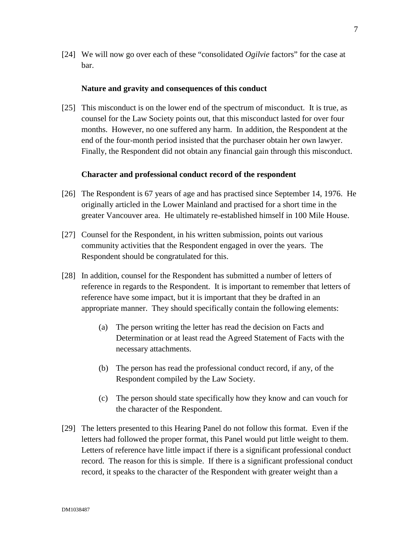[24] We will now go over each of these "consolidated *Ogilvie* factors" for the case at bar.

#### **Nature and gravity and consequences of this conduct**

[25] This misconduct is on the lower end of the spectrum of misconduct. It is true, as counsel for the Law Society points out, that this misconduct lasted for over four months. However, no one suffered any harm. In addition, the Respondent at the end of the four-month period insisted that the purchaser obtain her own lawyer. Finally, the Respondent did not obtain any financial gain through this misconduct.

#### **Character and professional conduct record of the respondent**

- [26] The Respondent is 67 years of age and has practised since September 14, 1976. He originally articled in the Lower Mainland and practised for a short time in the greater Vancouver area. He ultimately re-established himself in 100 Mile House.
- [27] Counsel for the Respondent, in his written submission, points out various community activities that the Respondent engaged in over the years. The Respondent should be congratulated for this.
- [28] In addition, counsel for the Respondent has submitted a number of letters of reference in regards to the Respondent. It is important to remember that letters of reference have some impact, but it is important that they be drafted in an appropriate manner. They should specifically contain the following elements:
	- (a) The person writing the letter has read the decision on Facts and Determination or at least read the Agreed Statement of Facts with the necessary attachments.
	- (b) The person has read the professional conduct record, if any, of the Respondent compiled by the Law Society.
	- (c) The person should state specifically how they know and can vouch for the character of the Respondent.
- [29] The letters presented to this Hearing Panel do not follow this format. Even if the letters had followed the proper format, this Panel would put little weight to them. Letters of reference have little impact if there is a significant professional conduct record. The reason for this is simple. If there is a significant professional conduct record, it speaks to the character of the Respondent with greater weight than a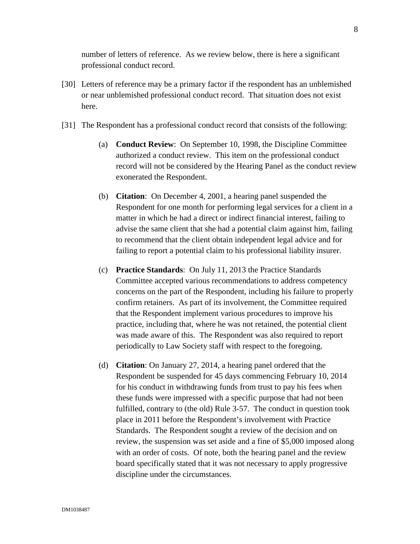number of letters of reference. As we review below, there is here a significant professional conduct record.

- [30] Letters of reference may be a primary factor if the respondent has an unblemished or near unblemished professional conduct record. That situation does not exist here.
- [31] The Respondent has a professional conduct record that consists of the following:
	- (a) **Conduct Review**: On September 10, 1998, the Discipline Committee authorized a conduct review. This item on the professional conduct record will not be considered by the Hearing Panel as the conduct review exonerated the Respondent.
	- (b) **Citation**: On December 4, 2001, a hearing panel suspended the Respondent for one month for performing legal services for a client in a matter in which he had a direct or indirect financial interest, failing to advise the same client that she had a potential claim against him, failing to recommend that the client obtain independent legal advice and for failing to report a potential claim to his professional liability insurer.
	- (c) **Practice Standards**: On July 11, 2013 the Practice Standards Committee accepted various recommendations to address competency concerns on the part of the Respondent, including his failure to properly confirm retainers. As part of its involvement, the Committee required that the Respondent implement various procedures to improve his practice, including that, where he was not retained, the potential client was made aware of this. The Respondent was also required to report periodically to Law Society staff with respect to the foregoing.
	- (d) **Citation**: On January 27, 2014, a hearing panel ordered that the Respondent be suspended for 45 days commencing February 10, 2014 for his conduct in withdrawing funds from trust to pay his fees when these funds were impressed with a specific purpose that had not been fulfilled, contrary to (the old) Rule 3-57. The conduct in question took place in 2011 before the Respondent's involvement with Practice Standards. The Respondent sought a review of the decision and on review, the suspension was set aside and a fine of \$5,000 imposed along with an order of costs. Of note, both the hearing panel and the review board specifically stated that it was not necessary to apply progressive discipline under the circumstances.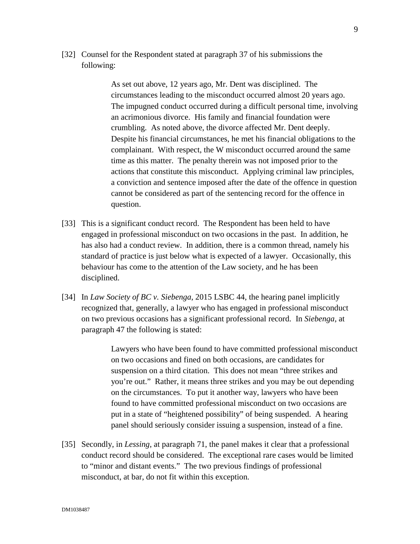[32] Counsel for the Respondent stated at paragraph 37 of his submissions the following:

> As set out above, 12 years ago, Mr. Dent was disciplined. The circumstances leading to the misconduct occurred almost 20 years ago. The impugned conduct occurred during a difficult personal time, involving an acrimonious divorce. His family and financial foundation were crumbling. As noted above, the divorce affected Mr. Dent deeply. Despite his financial circumstances, he met his financial obligations to the complainant. With respect, the W misconduct occurred around the same time as this matter. The penalty therein was not imposed prior to the actions that constitute this misconduct. Applying criminal law principles, a conviction and sentence imposed after the date of the offence in question cannot be considered as part of the sentencing record for the offence in question.

- [33] This is a significant conduct record. The Respondent has been held to have engaged in professional misconduct on two occasions in the past. In addition, he has also had a conduct review. In addition, there is a common thread, namely his standard of practice is just below what is expected of a lawyer. Occasionally, this behaviour has come to the attention of the Law society, and he has been disciplined.
- [34] In *Law Society of BC v. Siebenga*, 2015 LSBC 44, the hearing panel implicitly recognized that, generally, a lawyer who has engaged in professional misconduct on two previous occasions has a significant professional record. In *Siebenga*, at paragraph 47 the following is stated:

Lawyers who have been found to have committed professional misconduct on two occasions and fined on both occasions, are candidates for suspension on a third citation. This does not mean "three strikes and you're out." Rather, it means three strikes and you may be out depending on the circumstances. To put it another way, lawyers who have been found to have committed professional misconduct on two occasions are put in a state of "heightened possibility" of being suspended. A hearing panel should seriously consider issuing a suspension, instead of a fine.

[35] Secondly, in *Lessing*, at paragraph 71, the panel makes it clear that a professional conduct record should be considered. The exceptional rare cases would be limited to "minor and distant events." The two previous findings of professional misconduct, at bar, do not fit within this exception.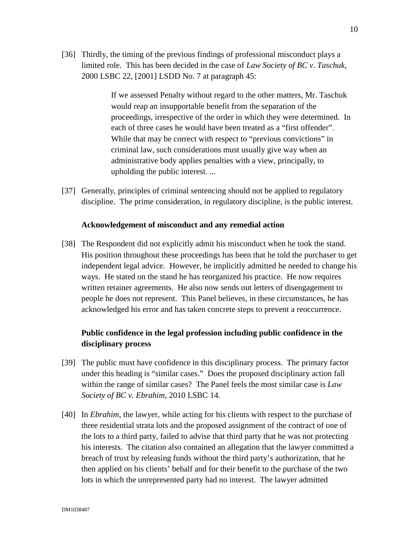[36] Thirdly, the timing of the previous findings of professional misconduct plays a limited role. This has been decided in the case of *Law Society of BC v. Taschuk*, 2000 LSBC 22, [2001] LSDD No. 7 at paragraph 45:

> If we assessed Penalty without regard to the other matters, Mr. Taschuk would reap an insupportable benefit from the separation of the proceedings, irrespective of the order in which they were determined. In each of three cases he would have been treated as a "first offender". While that may be correct with respect to "previous convictions" in criminal law, such considerations must usually give way when an administrative body applies penalties with a view, principally, to upholding the public interest. ...

[37] Generally, principles of criminal sentencing should not be applied to regulatory discipline. The prime consideration, in regulatory discipline, is the public interest.

### **Acknowledgement of misconduct and any remedial action**

[38] The Respondent did not explicitly admit his misconduct when he took the stand. His position throughout these proceedings has been that he told the purchaser to get independent legal advice. However, he implicitly admitted he needed to change his ways. He stated on the stand he has reorganized his practice. He now requires written retainer agreements. He also now sends out letters of disengagement to people he does not represent. This Panel believes, in these circumstances, he has acknowledged his error and has taken concrete steps to prevent a reoccurrence.

# **Public confidence in the legal profession including public confidence in the disciplinary process**

- [39] The public must have confidence in this disciplinary process. The primary factor under this heading is "similar cases." Does the proposed disciplinary action fall within the range of similar cases? The Panel feels the most similar case is *Law Society of BC v. Ebrahim*, 2010 LSBC 14.
- [40] In *Ebrahim*, the lawyer, while acting for his clients with respect to the purchase of three residential strata lots and the proposed assignment of the contract of one of the lots to a third party, failed to advise that third party that he was not protecting his interests. The citation also contained an allegation that the lawyer committed a breach of trust by releasing funds without the third party's authorization, that he then applied on his clients' behalf and for their benefit to the purchase of the two lots in which the unrepresented party had no interest. The lawyer admitted